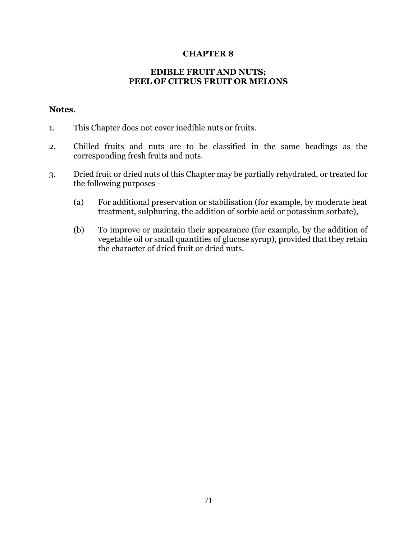## **CHAPTER 8**

## **EDIBLE FRUIT AND NUTS; PEEL OF CITRUS FRUIT OR MELONS**

## **Notes.**

- 1. This Chapter does not cover inedible nuts or fruits.
- 2. Chilled fruits and nuts are to be classified in the same headings as the corresponding fresh fruits and nuts.
- 3. Dried fruit or dried nuts of this Chapter may be partially rehydrated, or treated for the following purposes -
	- (a) For additional preservation or stabilisation (for example, by moderate heat treatment, sulphuring, the addition of sorbic acid or potassium sorbate),
	- (b) To improve or maintain their appearance (for example, by the addition of vegetable oil or small quantities of glucose syrup), provided that they retain the character of dried fruit or dried nuts.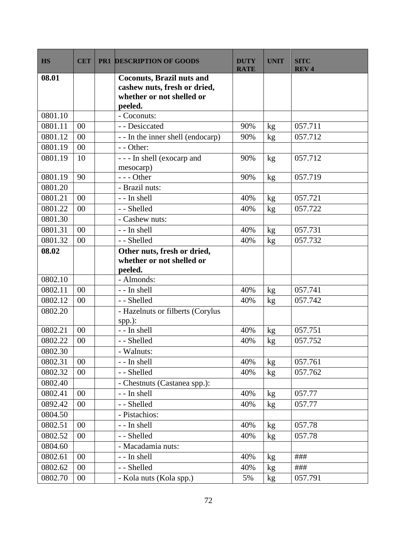| <b>HS</b> | <b>CET</b> | <b>PR1 DESCRIPTION OF GOODS</b>               | <b>DUTY</b><br><b>RATE</b> | <b>UNIT</b>   | <b>SITC</b><br><b>REV4</b> |
|-----------|------------|-----------------------------------------------|----------------------------|---------------|----------------------------|
| 08.01     |            | <b>Coconuts, Brazil nuts and</b>              |                            |               |                            |
|           |            | cashew nuts, fresh or dried,                  |                            |               |                            |
|           |            | whether or not shelled or<br>peeled.          |                            |               |                            |
| 0801.10   |            | - Coconuts:                                   |                            |               |                            |
| 0801.11   | 00         | - - Desiccated                                | 90%                        | $\rm kg$      | 057.711                    |
| 0801.12   | 00         | - - In the inner shell (endocarp)             | 90%                        | kg            | 057.712                    |
| 0801.19   | 00         | $-$ - Other:                                  |                            |               |                            |
| 0801.19   | 10         | --- In shell (exocarp and                     | 90%                        | kg            | 057.712                    |
|           |            | mesocarp)                                     |                            |               |                            |
| 0801.19   | 90         | --- Other                                     | 90%                        | kg            | 057.719                    |
| 0801.20   |            | - Brazil nuts:                                |                            |               |                            |
| 0801.21   | 00         | - - In shell                                  | 40%                        | kg            | 057.721                    |
| 0801.22   | 00         | - - Shelled                                   | 40%                        | kg            | 057.722                    |
| 0801.30   |            | - Cashew nuts:                                |                            |               |                            |
| 0801.31   | 00         | - - In shell                                  | 40%                        | $\mathrm{kg}$ | 057.731                    |
| 0801.32   | 00         | - - Shelled                                   | 40%                        | $\mathrm{kg}$ | 057.732                    |
| 08.02     |            | Other nuts, fresh or dried,                   |                            |               |                            |
|           |            | whether or not shelled or                     |                            |               |                            |
| 0802.10   |            | peeled.<br>- Almonds:                         |                            |               |                            |
| 0802.11   | 00         | - - In shell                                  |                            |               | 057.741                    |
| 0802.12   | 00         | - - Shelled                                   | 40%                        | kg            | 057.742                    |
| 0802.20   |            |                                               | 40%                        | kg            |                            |
|           |            | - Hazelnuts or filberts (Corylus<br>$spp.$ ): |                            |               |                            |
| 0802.21   | 00         | - - In shell                                  | 40%                        | $\mathrm{kg}$ | 057.751                    |
| 0802.22   | 00         | - - Shelled                                   | 40%                        | kg            | 057.752                    |
| 0802.30   |            | - Walnuts:                                    |                            |               |                            |
| 0802.31   | 00         | - - In shell                                  | 40%                        | kg            | 057.761                    |
| 0802.32   | 00         | - - Shelled                                   | 40%                        | kg            | 057.762                    |
| 0802.40   |            | - Chestnuts (Castanea spp.):                  |                            |               |                            |
| 0802.41   | $00\,$     | - - In shell                                  | 40%                        | $\mathrm{kg}$ | 057.77                     |
| 0892.42   | $00\,$     | - - Shelled                                   | 40%                        | kg            | 057.77                     |
| 0804.50   |            | - Pistachios:                                 |                            |               |                            |
| 0802.51   | 00         | - - In shell                                  | 40%                        | kg            | 057.78                     |
| 0802.52   | 00         | - - Shelled                                   | 40%                        | kg            | 057.78                     |
| 0804.60   |            | - Macadamia nuts:                             |                            |               |                            |
| 0802.61   | $00\,$     | - - In shell                                  | 40%                        | kg            | ###                        |
| 0802.62   | $00\,$     | - - Shelled                                   | 40%                        | kg            | ###                        |
| 0802.70   | $00\,$     | - Kola nuts (Kola spp.)                       | 5%                         | kg            | 057.791                    |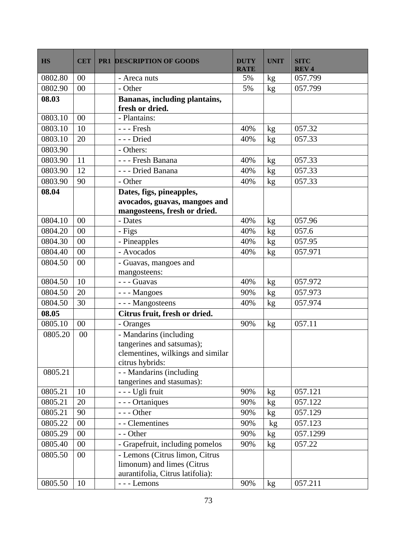| <b>HS</b> | <b>CET</b> | <b>PR1 DESCRIPTION OF GOODS</b>             | <b>DUTY</b><br><b>RATE</b> | <b>UNIT</b> | <b>SITC</b><br><b>REV4</b> |
|-----------|------------|---------------------------------------------|----------------------------|-------------|----------------------------|
| 0802.80   | 00         | - Areca nuts                                | 5%                         | kg          | 057.799                    |
| 0802.90   | 00         | - Other                                     | 5%                         | kg          | 057.799                    |
| 08.03     |            | Bananas, including plantains,               |                            |             |                            |
|           |            | fresh or dried.                             |                            |             |                            |
| 0803.10   | 00         | - Plantains:                                |                            |             |                            |
| 0803.10   | 10         | $--$ Fresh                                  | 40%                        | kg          | 057.32                     |
| 0803.10   | 20         | --- Dried                                   | 40%                        | kg          | 057.33                     |
| 0803.90   |            | - Others:                                   |                            |             |                            |
| 0803.90   | 11         | - - - Fresh Banana                          | 40%                        | kg          | 057.33                     |
| 0803.90   | 12         | - - - Dried Banana                          | 40%                        | kg          | 057.33                     |
| 0803.90   | 90         | - Other                                     | 40%                        | kg          | 057.33                     |
| 08.04     |            | Dates, figs, pineapples,                    |                            |             |                            |
|           |            | avocados, guavas, mangoes and               |                            |             |                            |
|           |            | mangosteens, fresh or dried.                |                            |             |                            |
| 0804.10   | 00         | - Dates                                     | 40%                        | kg          | 057.96                     |
| 0804.20   | 00         | - Figs                                      | 40%                        | kg          | 057.6                      |
| 0804.30   | 00         | - Pineapples                                | 40%                        | kg          | 057.95                     |
| 0804.40   | 00         | - Avocados                                  | 40%                        | kg          | 057.971                    |
| 0804.50   | 00         | - Guavas, mangoes and                       |                            |             |                            |
|           |            | mangosteens:                                |                            |             |                            |
| 0804.50   | 10         | - - - Guavas                                | 40%                        | kg          | 057.972                    |
| 0804.50   | 20         | --- Mangoes                                 | 90%                        | kg          | 057.973                    |
| 0804.50   | 30         | - - - Mangosteens                           | 40%                        | kg          | 057.974                    |
| 08.05     |            | Citrus fruit, fresh or dried.               |                            |             |                            |
| 0805.10   | 00         | - Oranges                                   | 90%                        | kg          | 057.11                     |
| 0805.20   | 00         | - Mandarins (including                      |                            |             |                            |
|           |            | tangerines and satsumas);                   |                            |             |                            |
|           |            | clementines, wilkings and similar           |                            |             |                            |
| 0805.21   |            | citrus hybrids:<br>- - Mandarins (including |                            |             |                            |
|           |            | tangerines and stasumas):                   |                            |             |                            |
| 0805.21   | 10         | - - - Ugli fruit                            | 90%                        | kg          | 057.121                    |
| 0805.21   | 20         | - - - Ortaniques                            | 90%                        | kg          | 057.122                    |
| 0805.21   | 90         | --- Other                                   | 90%                        | kg          | 057.129                    |
| 0805.22   | 00         | - - Clementines                             | 90%                        | kg          | 057.123                    |
| 0805.29   | $00\,$     | - - Other                                   | 90%                        | kg          | 057.1299                   |
| 0805.40   | 00         | - Grapefruit, including pomelos             | 90%                        | kg          | 057.22                     |
| 0805.50   | 00         | - Lemons (Citrus limon, Citrus              |                            |             |                            |
|           |            | limonum) and limes (Citrus                  |                            |             |                            |
|           |            | aurantifolia, Citrus latifolia):            |                            |             |                            |
| 0805.50   | 10         | --- Lemons                                  | 90%                        | kg          | 057.211                    |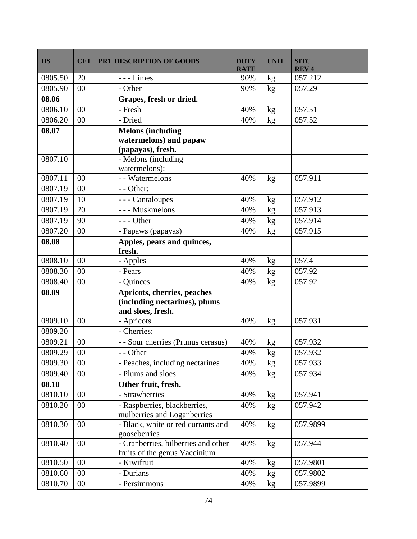| <b>HS</b>            | <b>CET</b> | <b>PR1 DESCRIPTION OF GOODS</b>                                                   | <b>DUTY</b><br><b>RATE</b> | <b>UNIT</b>     | <b>SITC</b><br><b>REV4</b> |
|----------------------|------------|-----------------------------------------------------------------------------------|----------------------------|-----------------|----------------------------|
| 0805.50              | 20         | --- Limes                                                                         | 90%                        | kg              | 057.212                    |
| 0805.90              | $00\,$     | - Other                                                                           | 90%                        | kg              | 057.29                     |
| 08.06                |            | Grapes, fresh or dried.                                                           |                            |                 |                            |
| $\overline{0806.10}$ | 00         | - Fresh                                                                           | 40%                        | kg              | 057.51                     |
| 0806.20              | 00         | - Dried                                                                           | 40%                        | kg              | 057.52                     |
| 08.07                |            | <b>Melons</b> (including<br>watermelons) and papaw<br>(papayas), fresh.           |                            |                 |                            |
| 0807.10              |            | - Melons (including<br>watermelons):                                              |                            |                 |                            |
| 0807.11              | 00         | - Watermelons                                                                     | 40%                        | kg              | 057.911                    |
| 0807.19              | 00         | - - Other:                                                                        |                            |                 |                            |
| 0807.19              | 10         | - - - Cantaloupes                                                                 | 40%                        | $\rm kg$        | 057.912                    |
| 0807.19              | 20         | --- Muskmelons                                                                    | 40%                        | kg              | 057.913                    |
| 0807.19              | 90         | $--$ Other                                                                        | 40%                        | kg              | 057.914                    |
| 0807.20              | 00         | - Papaws (papayas)                                                                | 40%                        | kg              | 057.915                    |
| 08.08                |            | Apples, pears and quinces,<br>fresh.                                              |                            |                 |                            |
| 0808.10              | 00         | - Apples                                                                          | 40%                        | $\mathrm{kg}$   | 057.4                      |
| 0808.30              | 00         | - Pears                                                                           | 40%                        | kg              | 057.92                     |
| 0808.40              | 00         | - Quinces                                                                         | 40%                        | kg              | 057.92                     |
| 08.09                |            | Apricots, cherries, peaches<br>(including nectarines), plums<br>and sloes, fresh. |                            |                 |                            |
| 0809.10              | 00         | - Apricots                                                                        | 40%                        | $\rm kg$        | 057.931                    |
| 0809.20              |            | - Cherries:                                                                       |                            |                 |                            |
| 0809.21              | 00         | - - Sour cherries (Prunus cerasus)                                                | 40%                        | $\mathrm{kg}$   | 057.932                    |
| 0809.29              | $00\,$     | - - Other                                                                         | 40%                        | kg              | 057.932                    |
| 0809.30              | 00         | - Peaches, including nectarines                                                   | 40%                        | kg              | 057.933                    |
| 0809.40              | 00         | - Plums and sloes                                                                 | 40%                        | kg <sub>2</sub> | 057.934                    |
| 08.10                |            | Other fruit, fresh.                                                               |                            |                 |                            |
| 0810.10              | 00         | - Strawberries                                                                    | 40%                        | kg              | 057.941                    |
| 0810.20              | 00         | - Raspberries, blackberries,<br>mulberries and Loganberries                       | 40%                        | kg              | 057.942                    |
| 0810.30              | $00\,$     | - Black, white or red currants and<br>gooseberries                                | 40%                        | kg              | 057.9899                   |
| 0810.40              | 00         | - Cranberries, bilberries and other<br>fruits of the genus Vaccinium              | 40%                        | kg              | 057.944                    |
| 0810.50              | 00         | - Kiwifruit                                                                       | 40%                        | kg              | 057.9801                   |
| 0810.60              | $00\,$     | - Durians                                                                         | 40%                        | kg              | 057.9802                   |
| 0810.70              | 00         | - Persimmons                                                                      | 40%                        | kg              | 057.9899                   |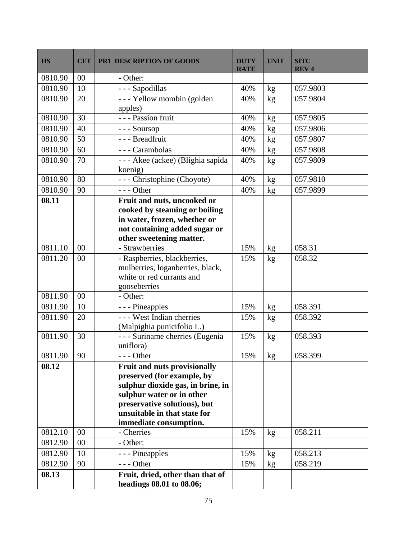| <b>HS</b> | <b>CET</b> | <b>PR1 DESCRIPTION OF GOODS</b>                                                                                                                                                                                        | <b>DUTY</b><br><b>RATE</b> | <b>UNIT</b>     | <b>SITC</b><br><b>REV4</b> |
|-----------|------------|------------------------------------------------------------------------------------------------------------------------------------------------------------------------------------------------------------------------|----------------------------|-----------------|----------------------------|
| 0810.90   | 00         | - Other:                                                                                                                                                                                                               |                            |                 |                            |
| 0810.90   | 10         | - - - Sapodillas                                                                                                                                                                                                       | 40%                        | kg              | 057.9803                   |
| 0810.90   | 20         | --- Yellow mombin (golden<br>apples)                                                                                                                                                                                   | 40%                        | kg              | 057.9804                   |
| 0810.90   | 30         | - - - Passion fruit                                                                                                                                                                                                    | 40%                        | kg              | 057.9805                   |
| 0810.90   | 40         | --- Soursop                                                                                                                                                                                                            | 40%                        | kg              | 057.9806                   |
| 0810.90   | 50         | - - - Breadfruit                                                                                                                                                                                                       | 40%                        | kg              | 057.9807                   |
| 0810.90   | 60         | --- Carambolas                                                                                                                                                                                                         | 40%                        | kg              | 057.9808                   |
| 0810.90   | 70         | - - - Akee (ackee) (Blighia sapida<br>koenig)                                                                                                                                                                          | 40%                        | kg              | 057.9809                   |
| 0810.90   | 80         | --- Christophine (Choyote)                                                                                                                                                                                             | 40%                        | kg              | 057.9810                   |
| 0810.90   | 90         | $--$ Other                                                                                                                                                                                                             | 40%                        | kg              | 057.9899                   |
| 08.11     |            | Fruit and nuts, uncooked or<br>cooked by steaming or boiling<br>in water, frozen, whether or<br>not containing added sugar or<br>other sweetening matter.                                                              |                            |                 |                            |
| 0811.10   | 00         | - Strawberries                                                                                                                                                                                                         | 15%                        | $\mathrm{kg}$   | 058.31                     |
| 0811.20   | 00         | - Raspberries, blackberries,<br>mulberries, loganberries, black,<br>white or red currants and<br>gooseberries                                                                                                          | 15%                        | kg              | 058.32                     |
| 0811.90   | 00         | - Other:                                                                                                                                                                                                               |                            |                 |                            |
| 0811.90   | 10         | - - - Pineapples                                                                                                                                                                                                       | 15%                        | $\rm kg$        | 058.391                    |
| 0811.90   | 20         | --- West Indian cherries<br>(Malpighia punicifolio L.)                                                                                                                                                                 | 15%                        | kg              | 058.392                    |
| 0811.90   | 30         | - - - Suriname cherries (Eugenia<br>uniflora)                                                                                                                                                                          | 15%                        | $\mathrm{kg}$   | 058.393                    |
| 0811.90   | 90         | --- Other                                                                                                                                                                                                              | 15%                        | $\overline{kg}$ | 058.399                    |
| 08.12     |            | Fruit and nuts provisionally<br>preserved (for example, by<br>sulphur dioxide gas, in brine, in<br>sulphur water or in other<br>preservative solutions), but<br>unsuitable in that state for<br>immediate consumption. |                            |                 |                            |
| 0812.10   | 00         | - Cherries                                                                                                                                                                                                             | 15%                        | kg              | 058.211                    |
| 0812.90   | 00         | - Other:                                                                                                                                                                                                               |                            |                 |                            |
| 0812.90   | 10         | - - - Pineapples                                                                                                                                                                                                       | 15%                        | kg              | 058.213                    |
| 0812.90   | 90         | $--$ Other                                                                                                                                                                                                             | 15%                        | kg <sub>2</sub> | 058.219                    |
| 08.13     |            | Fruit, dried, other than that of<br>headings 08.01 to 08.06;                                                                                                                                                           |                            |                 |                            |